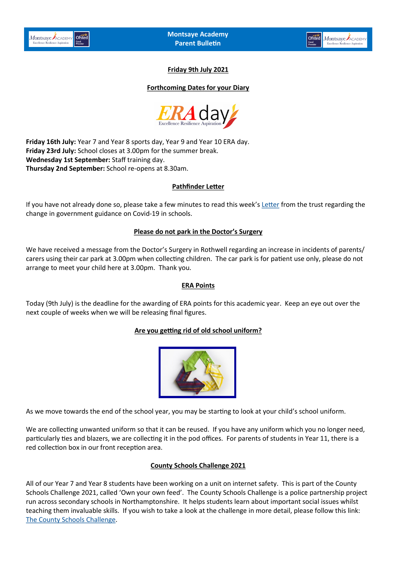



**Friday 9th July 2021**

# **Forthcoming Dates for your Diary**



**Friday 16th July:** Year 7 and Year 8 sports day, Year 9 and Year 10 ERA day. **Friday 23rd July:** School closes at 3.00pm for the summer break. **Wednesday 1st September:** Staff training day. **Thursday 2nd September:** School re-opens at 8.30am.

# **Pathfinder Letter**

If you have not already done so, please take a few minutes to read this week's [Letter](https://www.montsaye.northants.sch.uk/assets/Documents/Newsletters/PS-change-in-guidance-ltr-July-2021.pdf) from the trust regarding the change in government guidance on Covid-19 in schools.

# **Please do not park in the Doctor's Surgery**

We have received a message from the Doctor's Surgery in Rothwell regarding an increase in incidents of parents/ carers using their car park at 3.00pm when collecting children. The car park is for patient use only, please do not arrange to meet your child here at 3.00pm. Thank you.

## **ERA Points**

Today (9th July) is the deadline for the awarding of ERA points for this academic year. Keep an eye out over the next couple of weeks when we will be releasing final figures.

# **Are you getting rid of old school uniform?**



As we move towards the end of the school year, you may be starting to look at your child's school uniform.

We are collecting unwanted uniform so that it can be reused. If you have any uniform which you no longer need, particularly ties and blazers, we are collecting it in the pod offices. For parents of students in Year 11, there is a red collection box in our front reception area.

### **County Schools Challenge 2021**

All of our Year 7 and Year 8 students have been working on a unit on internet safety. This is part of the County Schools Challenge 2021, called 'Own your own feed'. The County Schools Challenge is a police partnership project run across secondary schools in Northamptonshire. It helps students learn about important social issues whilst teaching them invaluable skills. If you wish to take a look at the challenge in more detail, please follow this link: [The County Schools Challenge.](https://www.northants.police.uk/police-forces/northamptonshire-police/areas/northamptonshire-force-content/about-us/about-us/county-schools-challenge/)